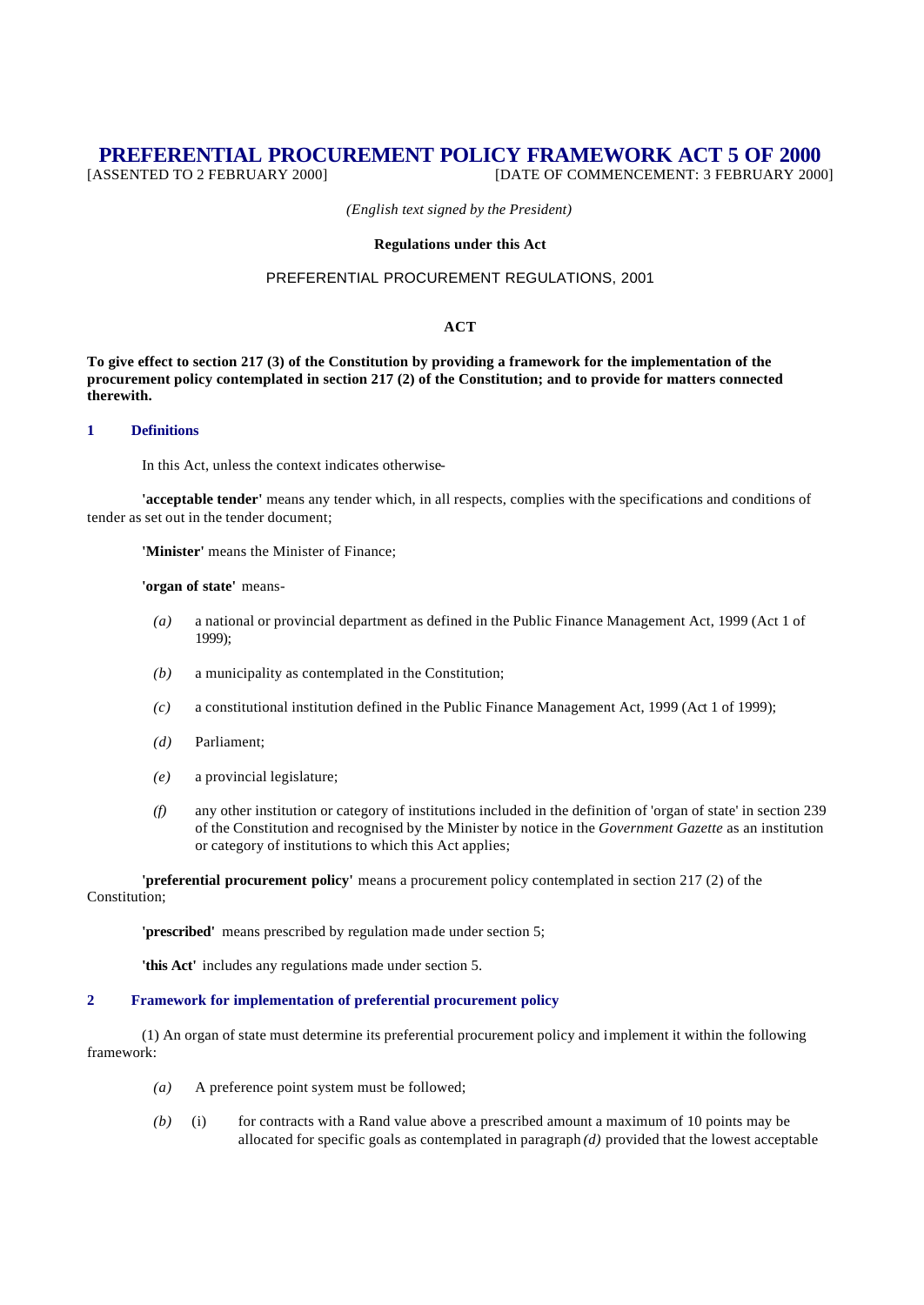# **PREFERENTIAL PROCUREMENT POLICY FRAMEWORK ACT 5 OF 2000** [ASSENTED TO 2 FEBRUARY 2000] **DATE OF COMMENCEMENT: 3 FEBRUARY 200**

[DATE OF COMMENCEMENT: 3 FEBRUARY 2000]

*(English text signed by the President)*

## **Regulations under this Act**

# PREFERENTIAL PROCUREMENT REGULATIONS, 2001

# **ACT**

**To give effect to section 217 (3) of the Constitution by providing a framework for the implementation of the procurement policy contemplated in section 217 (2) of the Constitution; and to provide for matters connected therewith.**

## **1 Definitions**

In this Act, unless the context indicates otherwise-

**'acceptable tender'** means any tender which, in all respects, complies with the specifications and conditions of tender as set out in the tender document;

**'Minister'** means the Minister of Finance;

#### **'organ of state'** means-

- *(a)* a national or provincial department as defined in the Public Finance Management Act, 1999 (Act 1 of 1999);
- *(b)* a municipality as contemplated in the Constitution;
- *(c)* a constitutional institution defined in the Public Finance Management Act, 1999 (Act 1 of 1999);
- *(d)* Parliament;
- *(e)* a provincial legislature;
- *(f)* any other institution or category of institutions included in the definition of 'organ of state' in section 239 of the Constitution and recognised by the Minister by notice in the *Government Gazette* as an institution or category of institutions to which this Act applies;

**'preferential procurement policy'** means a procurement policy contemplated in section 217 (2) of the Constitution;

**'prescribed'** means prescribed by regulation made under section 5;

**'this Act'** includes any regulations made under section 5.

#### **2 Framework for implementation of preferential procurement policy**

(1) An organ of state must determine its preferential procurement policy and implement it within the following framework:

- *(a)* A preference point system must be followed;
- *(b)* (i) for contracts with a Rand value above a prescribed amount a maximum of 10 points may be allocated for specific goals as contemplated in paragraph *(d)* provided that the lowest acceptable